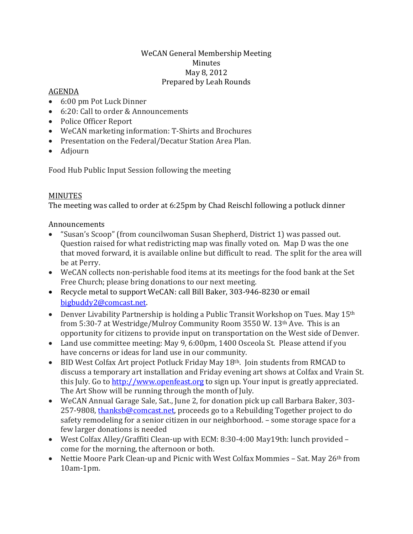## WeCAN General Membership Meeting **Minutes** May 8, 2012 Prepared by Leah Rounds

## AGENDA

- 6:00 pm Pot Luck Dinner
- 6:20: Call to order & Announcements
- Police Officer Report
- WeCAN marketing information: T-Shirts and Brochures
- Presentation on the Federal/Decatur Station Area Plan.
- Adjourn

Food Hub Public Input Session following the meeting

## MINUTES

The meeting was called to order at 6:25pm by Chad Reischl following a potluck dinner

Announcements

- "Susan's Scoop" (from councilwoman Susan Shepherd, District 1) was passed out. Question raised for what redistricting map was finally voted on. Map D was the one that moved forward, it is available online but difficult to read. The split for the area will be at Perry.
- WeCAN collects non-perishable food items at its meetings for the food bank at the Set Free Church; please bring donations to our next meeting.
- Recycle metal to support WeCAN: call Bill Baker, 303-946-8230 or email [bigbuddy2@comcast.net.](mailto:bigbuddy2@comcast.net)
- Denver Livability Partnership is holding a Public Transit Workshop on Tues. May 15<sup>th</sup> from 5:30-7 at Westridge/Mulroy Community Room 3550 W. 13th Ave. This is an opportunity for citizens to provide input on transportation on the West side of Denver.
- Land use committee meeting: May 9, 6:00pm, 1400 Osceola St. Please attend if you have concerns or ideas for land use in our community.
- BID West Colfax Art project Potluck Friday May 18<sup>th</sup>. Join students from RMCAD to discuss a temporary art installation and Friday evening art shows at Colfax and Vrain St. this July. Go to **http://www.openfeast.org** to sign up. Your input is greatly appreciated. The Art Show will be running through the month of July.
- WeCAN Annual Garage Sale, Sat., June 2, for donation pick up call Barbara Baker, 303 257-9808, [thanksb@comcast.net,](mailto:thanksb@comcast.net) proceeds go to a Rebuilding Together project to do safety remodeling for a senior citizen in our neighborhood. – some storage space for a few larger donations is needed
- West Colfax Alley/Graffiti Clean-up with ECM: 8:30-4:00 May19th: lunch provided come for the morning, the afternoon or both.
- Nettie Moore Park Clean-up and Picnic with West Colfax Mommies Sat. May 26<sup>th</sup> from 10am-1pm.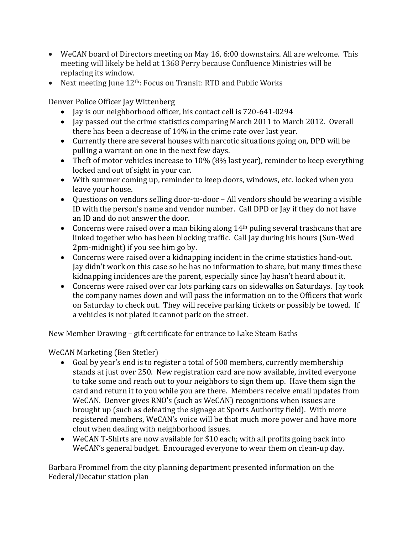- WeCAN board of Directors meeting on May 16, 6:00 downstairs. All are welcome. This meeting will likely be held at 1368 Perry because Confluence Ministries will be replacing its window.
- Next meeting June 12<sup>th</sup>: Focus on Transit: RTD and Public Works

Denver Police Officer Jay Wittenberg

- Jay is our neighborhood officer, his contact cell is 720-641-0294
- Jay passed out the crime statistics comparing March 2011 to March 2012. Overall there has been a decrease of 14% in the crime rate over last year.
- Currently there are several houses with narcotic situations going on, DPD will be pulling a warrant on one in the next few days.
- Theft of motor vehicles increase to 10% (8% last year), reminder to keep everything locked and out of sight in your car.
- With summer coming up, reminder to keep doors, windows, etc. locked when you leave your house.
- Questions on vendors selling door-to-door All vendors should be wearing a visible ID with the person's name and vendor number. Call DPD or Jay if they do not have an ID and do not answer the door.
- Concerns were raised over a man biking along 14<sup>th</sup> puling several trashcans that are linked together who has been blocking traffic. Call Jay during his hours (Sun-Wed 2pm-midnight) if you see him go by.
- Concerns were raised over a kidnapping incident in the crime statistics hand-out. Jay didn't work on this case so he has no information to share, but many times these kidnapping incidences are the parent, especially since Jay hasn't heard about it.
- Concerns were raised over car lots parking cars on sidewalks on Saturdays. Jay took the company names down and will pass the information on to the Officers that work on Saturday to check out. They will receive parking tickets or possibly be towed. If a vehicles is not plated it cannot park on the street.

New Member Drawing – gift certificate for entrance to Lake Steam Baths

WeCAN Marketing (Ben Stetler)

- Goal by year's end is to register a total of 500 members, currently membership stands at just over 250. New registration card are now available, invited everyone to take some and reach out to your neighbors to sign them up. Have them sign the card and return it to you while you are there. Members receive email updates from WeCAN. Denver gives RNO's (such as WeCAN) recognitions when issues are brought up (such as defeating the signage at Sports Authority field). With more registered members, WeCAN's voice will be that much more power and have more clout when dealing with neighborhood issues.
- WeCAN T-Shirts are now available for \$10 each; with all profits going back into WeCAN's general budget. Encouraged everyone to wear them on clean-up day.

Barbara Frommel from the city planning department presented information on the Federal/Decatur station plan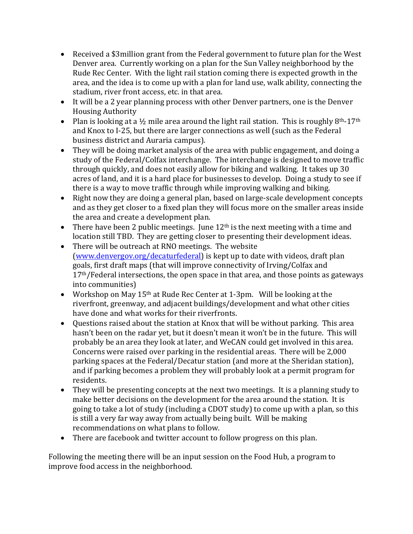- Received a \$3million grant from the Federal government to future plan for the West Denver area. Currently working on a plan for the Sun Valley neighborhood by the Rude Rec Center. With the light rail station coming there is expected growth in the area, and the idea is to come up with a plan for land use, walk ability, connecting the stadium, river front access, etc. in that area.
- It will be a 2 year planning process with other Denver partners, one is the Denver Housing Authority
- Plan is looking at a  $\frac{1}{2}$  mile area around the light rail station. This is roughly 8<sup>th</sup>-17<sup>th</sup> and Knox to I-25, but there are larger connections as well (such as the Federal business district and Auraria campus).
- They will be doing market analysis of the area with public engagement, and doing a study of the Federal/Colfax interchange. The interchange is designed to move traffic through quickly, and does not easily allow for biking and walking. It takes up 30 acres of land, and it is a hard place for businesses to develop. Doing a study to see if there is a way to move traffic through while improving walking and biking.
- Right now they are doing a general plan, based on large-scale development concepts and as they get closer to a fixed plan they will focus more on the smaller areas inside the area and create a development plan.
- There have been 2 public meetings. June  $12<sup>th</sup>$  is the next meeting with a time and location still TBD. They are getting closer to presenting their development ideas.
- There will be outreach at RNO meetings. The website [\(www.denvergov.org/decaturfederal\)](http://www.denvergov.org/decaturfederal) is kept up to date with videos, draft plan goals, first draft maps (that will improve connectivity of Irving/Colfax and  $17<sup>th</sup>/Federal$  intersections, the open space in that area, and those points as gateways into communities)
- Workshop on May  $15<sup>th</sup>$  at Rude Rec Center at 1-3pm. Will be looking at the riverfront, greenway, and adjacent buildings/development and what other cities have done and what works for their riverfronts.
- Questions raised about the station at Knox that will be without parking. This area hasn't been on the radar yet, but it doesn't mean it won't be in the future. This will probably be an area they look at later, and WeCAN could get involved in this area. Concerns were raised over parking in the residential areas. There will be 2,000 parking spaces at the Federal/Decatur station (and more at the Sheridan station), and if parking becomes a problem they will probably look at a permit program for residents.
- They will be presenting concepts at the next two meetings. It is a planning study to make better decisions on the development for the area around the station. It is going to take a lot of study (including a CDOT study) to come up with a plan, so this is still a very far way away from actually being built. Will be making recommendations on what plans to follow.
- There are facebook and twitter account to follow progress on this plan.

Following the meeting there will be an input session on the Food Hub, a program to improve food access in the neighborhood.